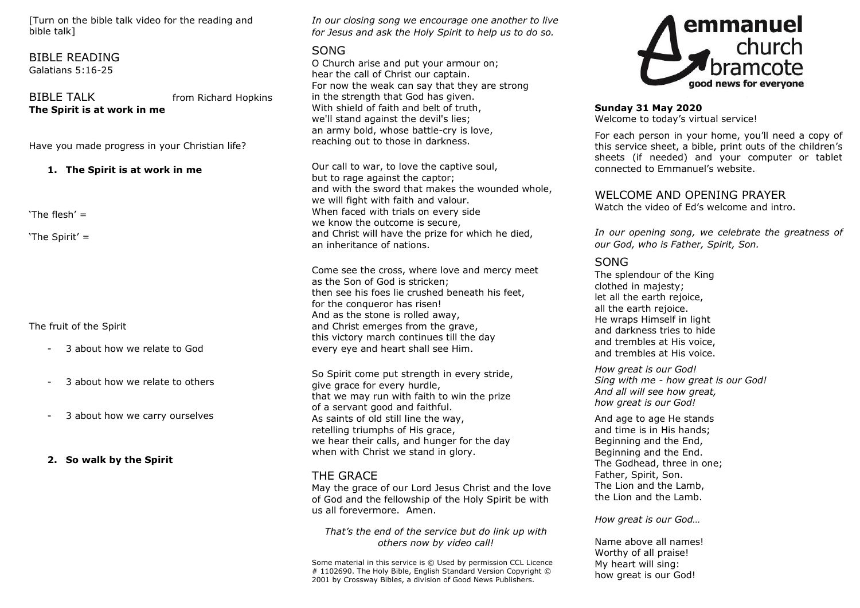[Turn on the bible talk video for the reading and bible talk]

BIBLE READING Galatians 5:16-25

BIBLE TALK from Richard Hopkins **The Spirit is at work in me**

Have you made progress in your Christian life?

#### **1. The Spirit is at work in me**

'The flesh'  $=$ 

'The Spirit' =

The fruit of the Spirit

- 3 about how we relate to God
- 3 about how we relate to others
- 3 about how we carry ourselves

**2. So walk by the Spirit**

*In our closing song we encourage one another to live for Jesus and ask the Holy Spirit to help us to do so.*

#### SONG

O Church arise and put your armour on; hear the call of Christ our captain. For now the weak can say that they are strong in the strength that God has given. With shield of faith and belt of truth, we'll stand against the devil's lies; an army bold, whose battle-cry is love, reaching out to those in darkness.

Our call to war, to love the captive soul, but to rage against the captor; and with the sword that makes the wounded whole, we will fight with faith and valour. When faced with trials on every side we know the outcome is secure, and Christ will have the prize for which he died, an inheritance of nations.

Come see the cross, where love and mercy meet as the Son of God is stricken; then see his foes lie crushed beneath his feet, for the conqueror has risen! And as the stone is rolled away, and Christ emerges from the grave, this victory march continues till the day every eye and heart shall see Him.

So Spirit come put strength in every stride, give grace for every hurdle, that we may run with faith to win the prize of a servant good and faithful. As saints of old still line the way, retelling triumphs of His grace, we hear their calls, and hunger for the day when with Christ we stand in glory.

## THE GRACE

May the grace of our Lord Jesus Christ and the love of God and the fellowship of the Holy Spirit be with us all forevermore. Amen.

*That's the end of the service but do link up with others now by video call!*

Some material in this service is © Used by permission CCL Licence # 1102690. The Holy Bible, English Standard Version Copyright © 2001 by Crossway Bibles, a division of Good News Publishers.



#### **Sunday 31 May 2020**

Welcome to today's virtual service!

For each person in your home, you'll need a copy of this service sheet, a bible, print outs of the children's sheets (if needed) and your computer or tablet connected to Emmanuel's website.

## WELCOME AND OPENING PRAYER

Watch the video of Ed's welcome and intro.

*In our opening song, we celebrate the greatness of our God, who is Father, Spirit, Son.*

### SONG

The splendour of the King clothed in majesty; let all the earth rejoice, all the earth rejoice. He wraps Himself in light and darkness tries to hide and trembles at His voice, and trembles at His voice.

*How great is our God! Sing with me - how great is our God! And all will see how great, how great is our God!*

And age to age He stands and time is in His hands; Beginning and the End, Beginning and the End. The Godhead, three in one; Father, Spirit, Son. The Lion and the Lamb, the Lion and the Lamb.

*How great is our God…*

Name above all names! Worthy of all praise! My heart will sing: how great is our God!